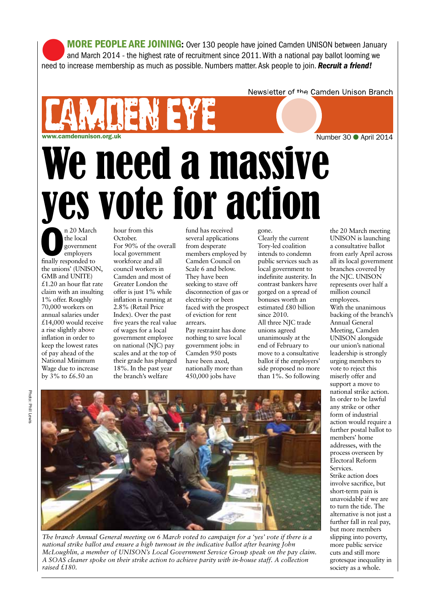lMORE PEOPLE ARE JOINING: Over 130 people have joined Camden UNISON between January and March 2014 - the highest rate of recruitment since 2011. With a national pay ballot looming we need to increase membership as much as possible. Numbers matter. Ask people to join. *Recruit a friend!*

Newsletter of the Camden Unison Branch

# werden water and the set of the set of the set of the set of the set of the set of the set of the set of the set of the set of the set of the set of the set of the set of the set of the set of the set of the set of the se We need a massive yes vote for action

n 20 March<br>
the local<br>
government<br>
employers<br>
finally responded to the local government employers the unions' (UNISON, GMB and UNITE) £1.20 an hour flat rate claim with an insulting 1% offer. Roughly 70,000 workers on annual salaries under £14,000 would receive a rise slightly above inflation in order to keep the lowest rates of pay ahead of the National Minimum Wage due to increase by 3% to £6.50 an

hour from this October. For 90% of the overall local government workforce and all council workers in Camden and most of Greater London the offer is just 1% while inflation is running at 2.8% (Retail Price Index). Over the past five years the real value of wages for a local government employee on national (NJC) pay scales and at the top of their grade has plunged 18%. In the past year the branch's welfare

fund has received several applications from desperate members employed by Camden Council on Scale 6 and below. They have been seeking to stave off disconnection of gas or electricity or been faced with the prospect of eviction for rent arrears. Pay restraint has done nothing to save local government jobs: in Camden 950 posts have been axed, nationally more than

450,000 jobs have

### gone.

Clearly the current Tory-led coalition intends to condemn public services such as local government to indefinite austerity. In contrast bankers have gorged on a spread of bonuses worth an estimated £80 billion since 2010. All three NJC trade unions agreed unanimously at the end of February to move to a consultative ballot if the employers' side proposed no more than 1%. So following

the 20 March meeting UNISON is launching a consultative ballot from early April across all its local government branches covered by the NJC. UNISON represents over half a million council employees. With the unanimous backing of the branch's Annual General Meeting, Camden UNISON alongside our union's national leadership is strongly urging members to vote to reject this miserly offer and support a move to national strike action. In order to be lawful any strike or other form of industrial action would require a further postal ballot to members' home addresses, with the process overseen by Electoral Reform **Services** 

Strike action does involve sacrifice, but short-term pain is unavoidable if we are to turn the tide. The alternative is not just a further fall in real pay, but more members slipping into poverty, more public service cuts and still more grotesque inequality in society as a whole.



*The branch Annual General meeting on 6 March voted to campaign for a 'yes' vote if there is a national strike ballot and ensure a high turnout in the indicative ballot after hearing John McLoughlin, a member of UNISON's Local Government Service Group speak on the pay claim. A SOAS cleaner spoke on their strike action to achieve parity with in-house staff. A collection raised £180.*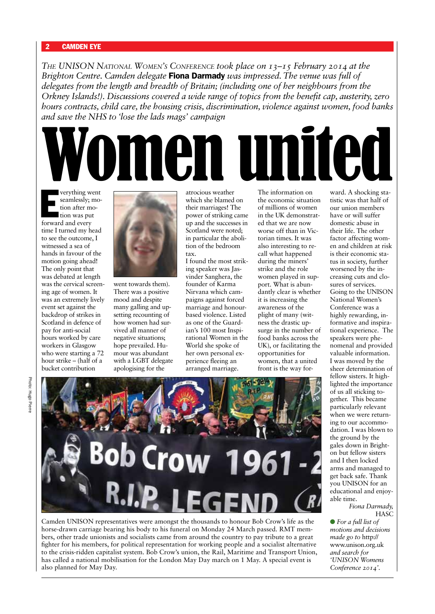*THE UNISON NATIONAL WOMEN'S CONFERENCE took place on 13–15 February 2014 at the Brighton Centre. Camden delegate* Fiona Darmady *was impressed. The venue was full of delegates from the length and breadth of Britain; (including one of her neighbours from the Orkney Islands!). Discussions covered a wide range of topics from the benefit cap, austerity, zero hours contracts, child care, the housing crisis, discrimination, violence against women, food banks and save the NHS to 'lose the lads mags' campaign*

verything we<br>
seamlessly; r<br>
tion after me<br>
tion was put<br>
forward and every verything went seamlessly; motion after motion was put time I turned my head to see the outcome, I witnessed a sea of hands in favour of the motion going ahead! The only point that was debated at length was the cervical screening age of women. It was an extremely lively event set against the backdrop of strikes in Scotland in defence of pay for anti-social hours worked by care workers in Glasgow who were starting a 72 hour strike – (half of a bucket contribution



went towards them). There was a positive mood and despite many galling and upsetting recounting of how women had survived all manner of negative situations; hope prevailed. Humour was abundant with a LGBT delegate apologising for the

atrocious weather which she blamed on their marriages! The power of striking came up and the successes in Scotland were noted; in particular the abolition of the bedroom tax.

**IGN UNITE** 

I found the most striking speaker was Jasvinder Sanghera, the founder of Karma Nirvana which campaigns against forced marriage and honourbased violence. Listed as one of the Guardian's 100 most Inspirational Women in the World she spoke of her own personal experience fleeing an arranged marriage.

The information on the economic situation of millions of women in the UK demonstrated that we are now worse off than in Victorian times. It was also interesting to recall what happened during the miners' strike and the role women played in support. What is abundantly clear is whether it is increasing the awareness of the plight of many (witness the drastic upsurge in the number of food banks across the UK), or facilitating the opportunities for women, that a united front is the way for-

ward. A shocking statistic was that half of our union members have or will suffer domestic abuse in their life. The other factor affecting women and children at risk is their economic status in society, further worsened by the increasing cuts and closures of services. Going to the UNISON National Women's Conference was a highly rewarding, informative and inspirational experience. The speakers were phenomenal and provided valuable information. I was moved by the sheer determination of fellow sisters. It highlighted the importance of us all sticking together. This became particularly relevant when we were returning to our accommodation. I was blown to the ground by the gales down in Brighton but fellow sisters and I then locked arms and managed to get back safe. Thank you UNISON for an educational and enjoyable time.

> *Fiona Darmady,* **HASC**

l *For a full list of motions and decisions made go to* http:// www.unison.org.uk *and search for 'UNISON Womens Conference 2014'*.



Camden UNISON representatives were amongst the thousands to honour Bob Crow's life as the horse-drawn carriage bearing his body to his funeral on Monday 24 March passed. RMT members, other trade unionists and socialists came from around the country to pay tribute to a great fighter for his members, for political representation for working people and a socialist alternative to the crisis-ridden capitalist system. Bob Crow's union, the Rail, Maritime and Transport Union, has called a national mobilisation for the London May Day march on 1 May. A special event is also planned for May Day.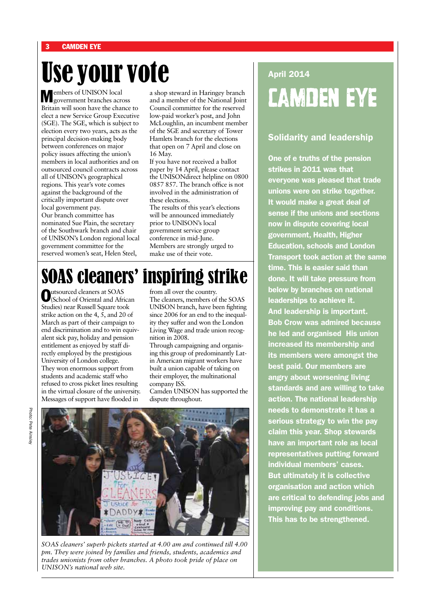# Use your vote

Members of UNISON local government branches across Britain will soon have the chance to elect a new Service Group Executive (SGE). The SGE, which is subject to election every two years, acts as the principal decision-making body between conferences on major policy issues affecting the union's members in local authorities and on outsourced council contracts across all of UNISON's geographical regions. This year's vote comes against the background of the critically important dispute over local government pay. Our branch committee has nominated Sue Plain, the secretary of the Southwark branch and chair of UNISON's London regional local government committee for the reserved women's seat, Helen Steel,

a shop steward in Haringey branch and a member of the National Joint Council committee for the reserved low-paid worker's post, and John McLoughlin, an incumbent member of the SGE and secretary of Tower Hamlets branch for the elections that open on 7 April and close on 16 May.

If you have not received a ballot paper by 14 April, please contact the UNISONdirect helpline on 0800 0857 857. The branch office is not involved in the administration of these elections.

The results of this year's elections will be announced immediately prior to UNISON's local government service group conference in mid-June. Members are strongly urged to make use of their vote.

## April 2014 CAMDEN EYE

### Solidarity and leadership

One of e truths of the pension strikes in 2011 was that everyone was pleased that trade unions were on strike together. It would make a great deal of sense if the unions and sections now in dispute covering local government, Health, Higher Education, schools and London Transport took action at the same time. This is easier said than done. It will take pressure from below by branches on national leaderships to achieve it. And leadership is important. Bob Crow was admired because he led and organised His union increased its membership and its members were amongst the best paid. Our members are angry about worsening living standards and are willing to take action. The national leadership needs to demonstrate it has a serious strategy to win the pay claim this year. Shop stewards have an important role as local representatives putting forward individual members' cases. But ultimately it is collective organisation and action which are critical to defending jobs and improving pay and conditions. This has to be strengthened.

# SOAS cleaners' inspiring strike

Outsourced cleaners at SOAS (School of Oriental and African Studies) near Russell Square took strike action on the 4,  $\bar{5}$ , and 20 of March as part of their campaign to end discrimination and to win equivalent sick pay, holiday and pension entitlement as enjoyed by staff directly employed by the prestigious University of London college. They won enormous support from students and academic staff who refused to cross picket lines resulting in the virtual closure of the university. Messages of support have flooded in

from all over the country. The cleaners, members of the SOAS UNISON branch, have been fighting since 2006 for an end to the inequality they suffer and won the London Living Wage and trade union recognition in 2008.

Through campaigning and organising this group of predominantly Latin American migrant workers have built a union capable of taking on their employer, the multinational company ISS.

Camden UNISON has supported the dispute throughout.



*SOAS cleaners' superb pickets started at 4.00 am and continued till 4.00 pm. They were joined by families and friends, students, academics and trades unionists from other branches. A photo took pride of place on UNISON's national web site.*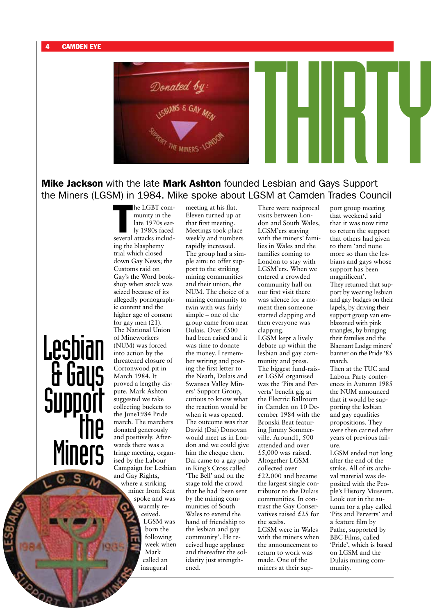

Mike Jackson with the late Mark Ashton founded Lesbian and Gays Support the Miners (LGSM) in 1984. Mike spoke about LGSM at Camden Trades Council

he LGBT com-<br>munity in the<br>late 1970s ear-<br>ly 1980s faced<br>several attacks includmunity in the late 1970s early 1980s faced ing the blasphemy trial which closed down Gay News; the Customs raid on Gay's the Word bookshop when stock was seized because of its allegedly pornographic content and the higher age of consent for gay men (21). The National Union of Mineworkers (NUM) was forced into action by the threatened closure of Cortonwood pit in March 1984. It proved a lengthy dispute. Mark Ashton suggested we take collecting buckets to the June1984 Pride march. The marchers donated generously and positively. Afterwards there was a fringe meeting, organised by the Labour Campaign for Lesbian and Gay Rights, Lesbian a Gays Support<br>The Miners

he LGBT com-

where a striking miner from Kent spoke and was warmly received. LGSM was born the following week when Mark called an inaugural

meeting at his flat. Eleven turned up at that first meeting. Meetings took place weekly and numbers rapidly increased. The group had a simple aim: to offer support to the striking mining communities and their union, the NUM. The choice of a mining community to twin with was fairly simple – one of the group came from near Dulais. Over £500 had been raised and it was time to donate the money. I remember writing and posting the first letter to the Neath, Dulais and Swansea Valley Miners' Support Group, curious to know what the reaction would be when it was opened. The outcome was that David (Dai) Donovan would meet us in London and we could give him the cheque then. Dai came to a gay pub in King's Cross called 'The Bell' and on the stage told the crowd that he had 'been sent by the mining communities of South Wales to extend the hand of friendship to the lesbian and gay community'. He received huge applause and thereafter the solidarity just strengthened.

There were reciprocal visits between London and South Wales, LGSM'ers staying with the miners' families in Wales and the families coming to London to stay with LGSM'ers. When we entered a crowded community hall on our first visit there was silence for a moment then someone started clapping and then everyone was clapping.

LGSM kept a lively debate up within the lesbian and gay community and press. The biggest fund-raiser LGSM organised was the 'Pits and Perverts' benefit gig at the Electric Ballroom in Camden on 10 December 1984 with the Bronski Beat featuring Jimmy Sommerville. Around1, 500 attended and over £5,000 was raised. Altogether LGSM collected over £22,000 and became the largest single contributor to the Dulais communities. In contrast the Gay Conservatives raised £25 for the scabs. LGSM were in Wales with the miners when

the announcement to return to work was made. One of the miners at their sup-

port group meeting that weekend said that it was now time to return the support that others had given to them 'and none more so than the lesbians and gays whose support has been magnificent'. They returned that support by wearing lesbian and gay badges on their lapels, by driving their support group van emblazoned with pink triangles, by bringing their families and the Blaenant Lodge miners' banner on the Pride '85 march. Then at the TUC and Labour Party conferences in Autumn 1985

the NUM announced that it would be supporting the lesbian and gay equalities propositions. They were then carried after years of previous failure.

LGSM ended not long after the end of the strike. All of its archival material was deposited with the People's History Museum. Look out in the autumn for a play called 'Pits and Perverts' and a feature film by Pathe, supported by BBC Films, called 'Pride', which is based on LGSM and the Dulais mining community.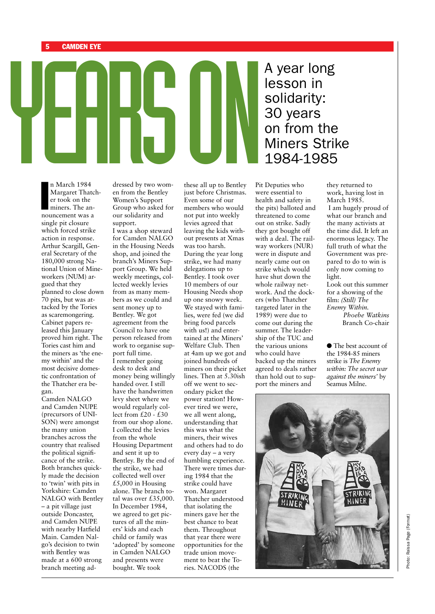The March 1984<br>
The March 1984<br>
The March 1984<br>
The March 1984<br>
Stressed by two wom-these all up to Bentley Pit A year long lesson in solidarity: 30 years on from the Miners Strike 1984-1985

n March 1984<br>Margaret Thatc<br>er took on the<br>miners. The an-<br>nouncement was a n March 1984 Margaret Thatcher took on the miners. The ansingle pit closure which forced strike action in response. Arthur Scargill, General Secretary of the 180,000 strong National Union of Mineworkers (NUM) argued that they planned to close down 70 pits, but was attacked by the Tories as scaremongering. Cabinet papers released this January proved him right. The Tories cast him and the miners as 'the enemy within' and the most decisive domestic confrontation of the Thatcher era began.

Camden NALGO and Camden NUPE (precursors of UNI-SON) were amongst the many union branches across the country that realised the political significance of the strike. Both branches quickly made the decision to 'twin' with pits in Yorkshire: Camden NALGO with Bentley – a pit village just outside Doncaster, and Camden NUPE with nearby Hatfield Main. Camden Nalgo's decision to twin with Bentley was made at a 600 strong branch meeting addressed by two women from the Bentley Women's Support Group who asked for our solidarity and support.

I was a shop steward for Camden NALGO in the Housing Needs shop, and joined the branch's Miners Support Group. We held weekly meetings, collected weekly levies from as many members as we could and sent money up to Bentley. We got agreement from the Council to have one person released from work to organise support full time. I remember going desk to desk and money being willingly handed over. I still have the handwritten levy sheet where we would regularly collect from  $\overrightarrow{t}$ 20 -  $\overrightarrow{t}$ 30 from our shop alone. I collected the levies from the whole Housing Department and sent it up to Bentley. By the end of the strike, we had collected well over  $£5,000$  in Housing alone. The branch total was over £35,000. In December 1984, we agreed to get pictures of all the miners' kids and each child or family was 'adopted' by someone in Camden NALGO and presents were bought. We took

these all up to Bentley just before Christmas. Even some of our members who would not put into weekly levies agreed that leaving the kids without presents at Xmas was too harsh. During the year long strike, we had many delegations up to Bentley. I took over 10 members of our Housing Needs shop up one snowy week. We stayed with families, were fed (we did bring food parcels with us!) and entertained at the Miners' Welfare Club. Then at 4am up we got and joined hundreds of miners on their picket lines. Then at 5.30ish off we went to secondary picket the power station! However tired we were, we all went along, understanding that this was what the miners, their wives and others had to do every day – a very humbling experience. There were times during 1984 that the strike could have won. Margaret Thatcher understood that isolating the miners gave her the best chance to beat them. Throughout that year there were opportunities for the trade union movement to beat the Tories. NACODS (the

Pit Deputies who were essential to health and safety in the pits) balloted and threatened to come out on strike. Sadly they got bought off with a deal. The railway workers (NUR) were in dispute and nearly came out on strike which would have shut down the whole railway network. And the dockers (who Thatcher targeted later in the 1989) were due to come out during the summer. The leadership of the TUC and the various unions who could have backed up the miners agreed to deals rather than hold out to support the miners and

they returned to work, having lost in March 1985. I am hugely proud of what our branch and the many activists at the time did. It left an enormous legacy. The full truth of what the Government was prepared to do to win is only now coming to light. Look out this summer

for a showing of the film: *(Still) The Enemy Within. Phoebe Watkins* Branch Co-chair

 $\bullet$  The best account of the 1984-85 miners strike is *The Enemy within: The secret war against the miners'* by Seamus Milne.

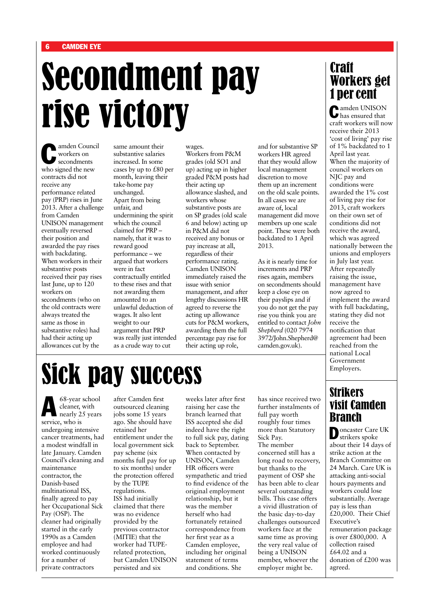# Secondment pay rise victory

amden Council workers on secondments who signed the new contracts did not receive any performance related pay (PRP) rises in June 2013. After a challenge from Camden UNISON management eventually reversed their position and awarded the pay rises with backdating. When workers in their substantive posts received their pay rises last June, up to 120 workers on secondments (who on the old contracts were always treated the same as those in substantive roles) had had their acting up allowances cut by the

same amount their substantive salaries increased. In some cases by up to £80 per month, leaving their take-home pay unchanged. Apart from being unfair, and undermining the spirit which the council claimed for PRP – namely, that it was to reward good performance – we argued that workers were in fact contractually entitled to these rises and that not awarding them amounted to an unlawful deduction of wages. It also lent weight to our argument that PRP was really just intended as a crude way to cut

wages. Workers from P&M grades (old SO1 and up) acting up in higher graded P&M posts had their acting up allowance slashed, and workers whose substantive posts are on SP grades (old scale 6 and below) acting up in P&M did not received any bonus or pay increase at all, regardless of their performance rating. Camden UNISON immediately raised the issue with senior management, and after lengthy discussions HR agreed to reverse the acting up allowance cuts for P&M workers, awarding them the full percentage pay rise for their acting up role,

and for substantive SP workers HR agreed that they would allow local management discretion to move them up an increment on the old scale points. In all cases we are aware of, local management did move members up one scale point. These were both backdated to 1 April 2013.

As it is nearly time for increments and PRP rises again, members on secondments should keep a close eye on their payslips and if you do not get the pay rise you think you are entitled to contact *John Shepherd* (020 7974 3972/John.Shepherd@ camden.gov.uk).

### **Craft** Workers get 1 per cent

Camden UNISON has ensured that craft workers will now receive their 2013 'cost of living' pay rise of 1% backdated to 1 April last year. When the majority of council workers on NJC pay and conditions were awarded the 1% cost of living pay rise for 2013, craft workers on their own set of conditions did not receive the award, which was agreed nationally between the unions and employers in July last year. After repeatedly raising the issue, management have now agreed to implement the award with full backdating, stating they did not receive the notification that agreement had been reached from the national Local Government Employers.

# Sick pay success

68-year school<br>cleaner, with<br>nearly 25 years cleaner, with service, who is undergoing intensive cancer treatments, had a modest windfall in late January. Camden Council's cleaning and maintenance contractor, the Danish-based multinational ISS, finally agreed to pay her Occupational Sick Pay (OSP). The cleaner had originally started in the early 1990s as a Camden employee and had worked continuously for a number of private contractors

after Camden first outsourced cleaning jobs some 15 years ago. She should have retained her entitlement under the local government sick pay scheme (six months full pay for up to six months) under the protection offered by the TUPE regulations. ISS had initially claimed that there was no evidence provided by the previous contractor (MITIE) that the worker had TUPErelated protection, but Camden UNISON persisted and six

weeks later after first raising her case the branch learned that ISS accepted she did indeed have the right to full sick pay, dating back to September. When contacted by UNISON, Camden HR officers were sympathetic and tried to find evidence of the original employment relationship, but it was the member herself who had fortunately retained correspondence from her first year as a Camden employee, including her original statement of terms and conditions. She

has since received two further instalments of full pay worth roughly four times more than Statutory Sick Pay. The member concerned still has a long road to recovery, but thanks to the payment of OSP she has been able to clear several outstanding bills. This case offers a vivid illustration of the basic day-to-day challenges outsourced workers face at the same time as proving the very real value of being a UNISON member, whoever the employer might be.

### Strikers visit Camden **Branch**

Doncaster Care UK strikers spoke about their 14 days of strike action at the Branch Committee on 24 March. Care UK is attacking anti-social hours payments and workers could lose substantially. Average pay is less than  $\hat{t}$ 20,000. Their Chief Executive's remuneration package is over £800,000. A collection raised £64.02 and a donation of £200 was agreed.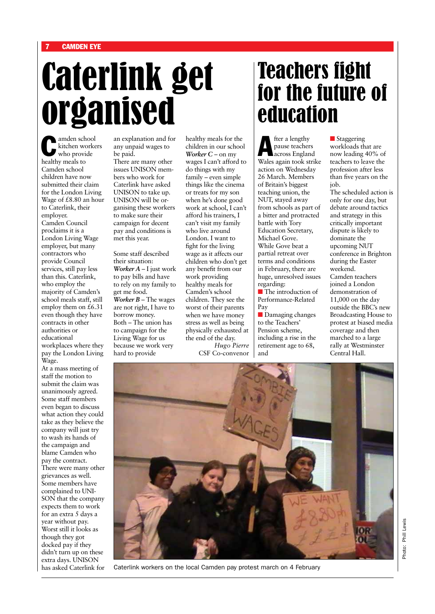# Caterlink get organised

amden school<br>kitchen worke kitchen workers who provide healthy meals to Camden school children have now submitted their claim for the London Living Wage of £8.80 an hour to Caterlink, their employer. Camden Council proclaims it is a London Living Wage employer, but many contractors who provide Council services, still pay less than this. Caterlink, who employ the majority of Camden's school meals staff, still employ them on  $\hat{t}$ 6.31 even though they have contracts in other authorities or educational workplaces where they pay the London Living Wage.

At a mass meeting of staff the motion to submit the claim was unanimously agreed. Some staff members even began to discuss what action they could take as they believe the company will just try to wash its hands of the campaign and blame Camden who pay the contract. There were many other grievances as well. Some members have complained to UNI-SON that the company expects them to work for an extra 5 days a year without pay. Worst still it looks as though they got docked pay if they didn't turn up on these extra days. UNISON has asked Caterlink for

an explanation and for any unpaid wages to be paid.

There are many other issues UNISON members who work for Caterlink have asked UNISON to take up. UNISON will be organising these workers to make sure their campaign for decent pay and conditions is met this year.

Some staff described their situation: *Worker A* – I just work to pay bills and have to rely on my family to get me food. *Worker B* – The wages are not right, I have to borrow money. Both – The union has to campaign for the Living Wage for us because we work very hard to provide

healthy meals for the children in our school *Worker C* – on my wages I can't afford to do things with my family – even simple things like the cinema or treats for my son when he's done good work at school, I can't afford his trainers, I can't visit my family who live around London. I want to fight for the living wage as it affects our children who don't get any benefit from our work providing healthy meals for Camden's school children. They see the worst of their parents when we have money stress as well as being physically exhausted at the end of the day. *Hugo Pierre*

CSF Co-convenor

## Teachers fight for the future of education

fter a lengthy<br>pause teachers<br>across Englan pause teachers across England Wales again took strike action on Wednesday 26 March. Members of Britain's biggest teaching union, the NUT, stayed away from schools as part of a bitter and protracted battle with Tory Education Secretary, Michael Gove. While Gove beat a partial retreat over terms and conditions in February, there are huge, unresolved issues regarding:

 $\blacksquare$  The introduction of Performance-Related Pay

**n** Damaging changes to the Teachers' Pension scheme, including a rise in the retirement age to 68, and

**n** Staggering workloads that are now leading 40% of teachers to leave the profession after less than five years on the job.

The scheduled action is only for one day, but debate around tactics and strategy in this critically important dispute is likely to dominate the upcoming NUT conference in Brighton during the Easter weekend. Camden teachers joined a London demonstration of 11,000 on the day outside the BBC's new Broadcasting House to protest at biased media coverage and then marched to a large rally at Westminster Central Hall.



Caterlink workers on the local Camden pay protest march on 4 February